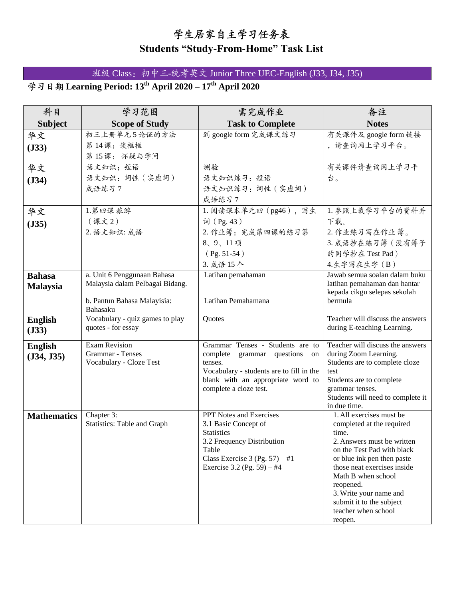## 学生居家自主学习任务表 **Students "Study-From-Home" Task List**

Class:初中三-统考英文 Junior Three UEC-English (J33, J34, J35)

**Learning Period: 13th April 2020 – 17th April 2020**

| 科目                 | 学习范围                                             | 需完成作业                                                                         | 备注                                                           |
|--------------------|--------------------------------------------------|-------------------------------------------------------------------------------|--------------------------------------------------------------|
| <b>Subject</b>     | <b>Scope of Study</b>                            | <b>Task to Complete</b>                                                       | <b>Notes</b>                                                 |
| 华文                 | 初三上册单元5论证的方法                                     | 到 google form 完成课文练习                                                          | 有关课件及 google form 链接                                         |
| (J33)              | 第14课:谈框框                                         |                                                                               | , 请查询网上学习平台。                                                 |
|                    | 第15课: 怀疑与学问                                      |                                                                               |                                                              |
| 华文                 | 语文知识: 短语                                         | 测验                                                                            | 有关课件请查询网上学习平                                                 |
| (J34)              | 语文知识:词性 (实虚词)                                    | 语文知识练习:短语                                                                     | 台。                                                           |
|                    | 成语练习7                                            | 语文知识练习: 词性 (实虚词)                                                              |                                                              |
|                    |                                                  | 成语练习7                                                                         |                                                              |
| 华文                 | 1.第四课 旅游                                         | 1. 阅读课本单元四 (pg46),写生                                                          | 1. 参照上载学习平台的资料并                                              |
| (J35)              | (课文2)                                            | 词 (Pg. 43)                                                                    | 下载。                                                          |
|                    | 2. 语文知识: 成语                                      | 2. 作业簿: 完成第四课的练习第                                                             | 2. 作业练习写在作业簿。                                                |
|                    |                                                  | 8、9、11项                                                                       | 3. 成语抄在练习簿 (没有簿子                                             |
|                    |                                                  | $(Pg. 51-54)$                                                                 | 的同学抄在 Test Pad)                                              |
|                    |                                                  | 3. 成语 15个                                                                     | 4.生字写在生字(B)                                                  |
| <b>Bahasa</b>      | a. Unit 6 Penggunaan Bahasa                      | Latihan pemahaman                                                             | Jawab semua soalan dalam buku                                |
| <b>Malaysia</b>    | Malaysia dalam Pelbagai Bidang.                  |                                                                               | latihan pemahaman dan hantar<br>kepada cikgu selepas sekolah |
|                    | b. Pantun Bahasa Malayisia:                      | Latihan Pemahamana                                                            | bermula                                                      |
|                    | Bahasaku                                         |                                                                               |                                                              |
| <b>English</b>     | Vocabulary - quiz games to play                  | Quotes                                                                        | Teacher will discuss the answers                             |
| (J33)              | quotes - for essay                               |                                                                               | during E-teaching Learning.                                  |
| <b>English</b>     | <b>Exam Revision</b>                             | Grammar Tenses - Students are to                                              | Teacher will discuss the answers                             |
| (J34, J35)         | Grammar - Tenses                                 | complete<br>grammar questions<br>on                                           | during Zoom Learning.                                        |
|                    | Vocabulary - Cloze Test                          | tenses.                                                                       | Students are to complete cloze                               |
|                    |                                                  | Vocabulary - students are to fill in the<br>blank with an appropriate word to | test<br>Students are to complete                             |
|                    |                                                  | complete a cloze test.                                                        | grammar tenses.                                              |
|                    |                                                  |                                                                               | Students will need to complete it                            |
|                    |                                                  |                                                                               | in due time.                                                 |
| <b>Mathematics</b> | Chapter 3:<br><b>Statistics: Table and Graph</b> | <b>PPT</b> Notes and Exercises<br>3.1 Basic Concept of                        | 1. All exercises must be<br>completed at the required        |
|                    |                                                  | <b>Statistics</b>                                                             | time.                                                        |
|                    |                                                  | 3.2 Frequency Distribution                                                    | 2. Answers must be written                                   |
|                    |                                                  | Table                                                                         | on the Test Pad with black                                   |
|                    |                                                  | Class Exercise 3 (Pg. 57) $-$ #1<br>Exercise 3.2 (Pg. 59) $-$ #4              | or blue ink pen then paste<br>those neat exercises inside    |
|                    |                                                  |                                                                               | Math B when school                                           |
|                    |                                                  |                                                                               | reopened.                                                    |
|                    |                                                  |                                                                               | 3. Write your name and                                       |
|                    |                                                  |                                                                               | submit it to the subject                                     |
|                    |                                                  |                                                                               | teacher when school<br>reopen.                               |